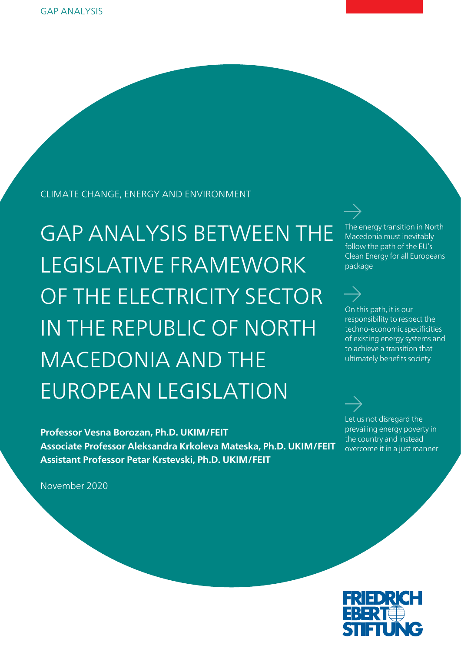CLIMATE CHANGE, ENERGY AND ENVIRONMENT

GAP ANALYSIS BETWEEN THE LEGISLATIVE FRAMEWORK OF THE ELECTRICITY SECTOR IN THE REPUBLIC OF NORTH MACEDONIA AND THE EUROPEAN LEGISLATION

**Professor Vesna Borozan, Ph.D. UKIM/FEIT Associate Professor Aleksandra Krkoleva Mateska, Ph.D. UKIM/FEIT Assistant Professor Petar Krstevski, Ph.D. UKIM/FEIT** 

November 2020

The energy transition in North Macedonia must inevitably follow the path of the EU's Clean Energy for all Europeans package

On this path, it is our responsibility to respect the techno-economic specificities of existing energy systems and to achieve a transition that ultimately benefits society

Let us not disregard the prevailing energy poverty in the country and instead overcome it in a just manner

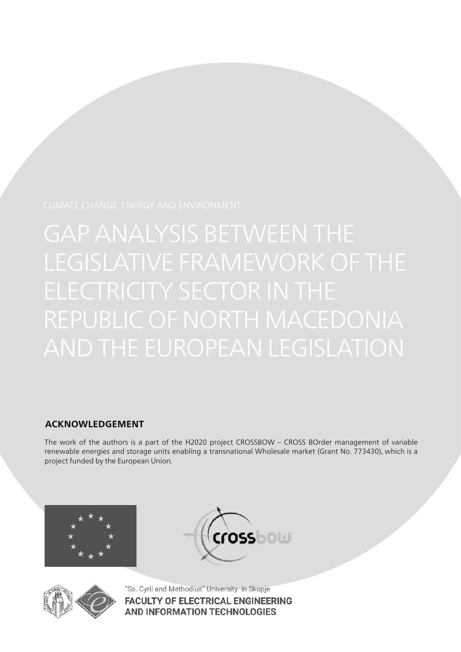## **ACKNOWLEDGEMENT**

The work of the authors is a part of the H2020 project CROSSBOW – CROSS BOrder management of variable renewable energies and storage units enabling a transnational Wholesale market (Grant No. 773430), which is a project funded by the European Union.







"Ss. Cyril and Methodius" University in Skopje **FACULTY OF ELECTRICAL ENGINEERING AND INFORMATION TECHNOLOGIES**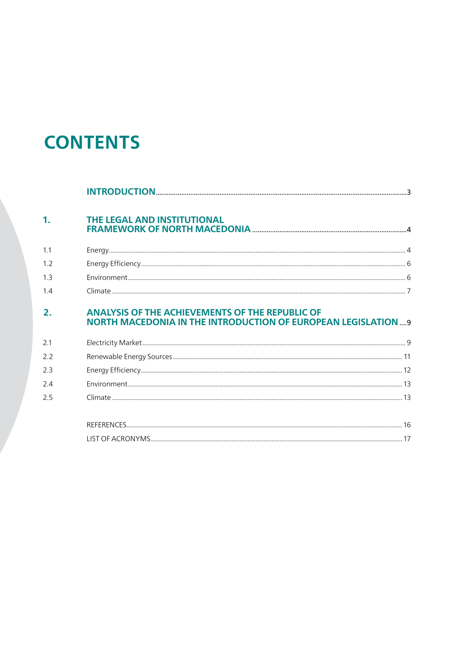# **CONTENTS**

| $\mathbf{1}$ | THE LEGAL AND INSTITUTIONAL                                                                                                   |  |
|--------------|-------------------------------------------------------------------------------------------------------------------------------|--|
| 1.1          |                                                                                                                               |  |
| 1.2          |                                                                                                                               |  |
| 1.3          |                                                                                                                               |  |
| 1.4          |                                                                                                                               |  |
| 2.           | <b>ANALYSIS OF THE ACHIEVEMENTS OF THE REPUBLIC OF</b><br><b>NORTH MACEDONIA IN THE INTRODUCTION OF EUROPEAN LEGISLATION9</b> |  |
| 2.1          |                                                                                                                               |  |
| 2.2          |                                                                                                                               |  |
| 2.3          |                                                                                                                               |  |
| 2.4          |                                                                                                                               |  |
| 2.5          |                                                                                                                               |  |
|              |                                                                                                                               |  |
|              |                                                                                                                               |  |

| <b>ICT</b><br>AC RO<br>YM<br>)N<br>()⊢ |  |
|----------------------------------------|--|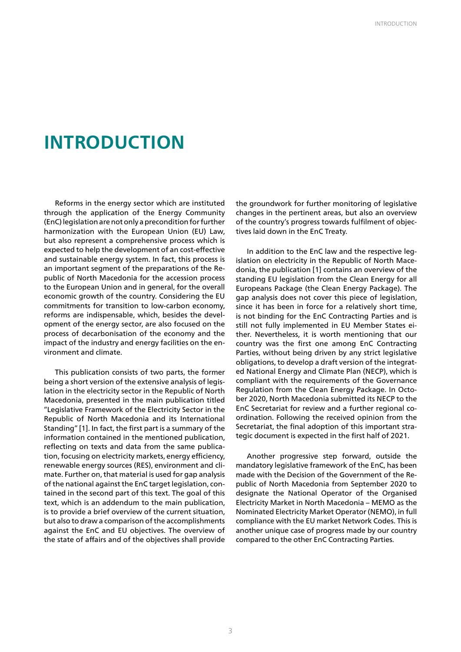## **INTRODUCTION**

Reforms in the energy sector which are instituted through the application of the Energy Community (EnC) legislation are not only a precondition for further harmonization with the European Union (EU) Law, but also represent a comprehensive process which is expected to help the development of an cost-effective and sustainable energy system. In fact, this process is an important segment of the preparations of the Republic of North Macedonia for the accession process to the European Union and in general, for the overall economic growth of the country. Considering the EU commitments for transition to low-carbon economy, reforms are indispensable, which, besides the development of the energy sector, are also focused on the process of decarbonisation of the economy and the impact of the industry and energy facilities on the environment and climate.

This publication consists of two parts, the former being a short version of the extensive analysis of legislation in the electricity sector in the Republic of North Macedonia, presented in the main publication titled "Legislative Framework of the Electricity Sector in the Republic of North Macedonia and its International Standing" [1]. In fact, the first part is a summary of the information contained in the mentioned publication, reflecting on texts and data from the same publication, focusing on electricity markets, energy efficiency, renewable energy sources (RES), environment and climate. Further on, that material is used for gap analysis of the national against the EnC target legislation, contained in the second part of this text. The goal of this text, which is an addendum to the main publication, is to provide a brief overview of the current situation, but also to draw a comparison of the accomplishments against the EnC and EU objectives. The overview of the state of affairs and of the objectives shall provide the groundwork for further monitoring of legislative changes in the pertinent areas, but also an overview of the country's progress towards fulfilment of objectives laid down in the EnC Treaty.

In addition to the EnC law and the respective legislation on electricity in the Republic of North Macedonia, the publication [1] contains an overview of the standing EU legislation from the Clean Energy for all Europeans Package (the Clean Energy Package). The gap analysis does not cover this piece of legislation, since it has been in force for a relatively short time, is not binding for the EnC Contracting Parties and is still not fully implemented in EU Member States either. Nevertheless, it is worth mentioning that our country was the first one among EnC Contracting Parties, without being driven by any strict legislative obligations, to develop a draft version of the integrated National Energy and Climate Plan (NECP), which is compliant with the requirements of the Governance Regulation from the Clean Energy Package. In October 2020, North Macedonia submitted its NECP to the EnC Secretariat for review and a further regional coordination. Following the received opinion from the Secretariat, the final adoption of this important strategic document is expected in the first half of 2021.

Another progressive step forward, outside the mandatory legislative framework of the EnC, has been made with the Decision of the Government of the Republic of North Macedonia from September 2020 to designate the National Operator of the Organised Electricity Market in North Macedonia – MEMO as the Nominated Electricity Market Operator (NEMO), in full compliance with the EU market Network Codes. This is another unique case of progress made by our country compared to the other EnC Contracting Parties.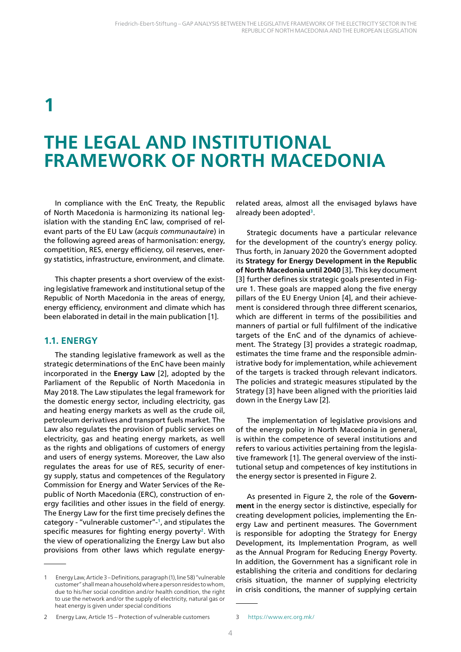## **1**

## **THE LEGAL AND INSTITUTIONAL FRAMEWORK OF NORTH MACEDONIA**

In compliance with the EnC Treaty, the Republic of North Macedonia is harmonizing its national legislation with the standing EnC law, comprised of relevant parts of the EU Law (*acquis communautaire*) in the following agreed areas of harmonisation: energy, competition, RES, energy efficiency, oil reserves, energy statistics, infrastructure, environment, and climate.

This chapter presents a short overview of the existing legislative framework and institutional setup of the Republic of North Macedonia in the areas of energy, energy efficiency, environment and climate which has been elaborated in detail in the main publication [1].

## **1.1. ENERGY**

The standing legislative framework as well as the strategic determinations of the EnC have been mainly incorporated in the **Energy Law** [2], adopted by the Parliament of the Republic of North Macedonia in May 2018. The Law stipulates the legal framework for the domestic energy sector, including electricity, gas and heating energy markets as well as the crude oil, petroleum derivatives and transport fuels market. The Law also regulates the provision of public services on electricity, gas and heating energy markets, as well as the rights and obligations of customers of energy and users of energy systems. Moreover, the Law also regulates the areas for use of RES, security of energy supply, status and competences of the Regulatory Commission for Energy and Water Services of the Republic of North Macedonia (ERC), construction of energy facilities and other issues in the field of energy. The Energy Law for the first time precisely defines the category - "vulnerable customer"-**1**, and stipulates the specific measures for fighting energy poverty**2**. With the view of operationalizing the Energy Law but also provisions from other laws which regulate energy-

1 Energy Law, Article 3 – Definitions, paragraph (1), line 58) "vulnerable customer" shall mean a household where a person resides to whom, due to his/her social condition and/or health condition, the right to use the network and/or the supply of electricity, natural gas or heat energy is given under special conditions

related areas, almost all the envisaged bylaws have already been adopted**3**.

Strategic documents have a particular relevance for the development of the country's energy policy. Thus forth, in January 2020 the Government adopted its **Strategy for Energy Development in the Republic of North Macedonia until 2040** [3]**.** This key document [3] further defines six strategic goals presented in Figure 1. These goals are mapped along the five energy pillars of the EU Energy Union [4], and their achievement is considered through three different scenarios, which are different in terms of the possibilities and manners of partial or full fulfilment of the indicative targets of the EnC and of the dynamics of achievement. The Strategy [3] provides a strategic roadmap, estimates the time frame and the responsible administrative body for implementation, while achievement of the targets is tracked through relevant indicators. The policies and strategic measures stipulated by the Strategy [3] have been aligned with the priorities laid down in the Energy Law [2].

The implementation of legislative provisions and of the energy policy in North Macedonia in general, is within the competence of several institutions and refers to various activities pertaining from the legislative framework [1]. The general overview of the institutional setup and competences of key institutions in the energy sector is presented in Figure 2.

As presented in Figure 2, the role of the **Government** in the energy sector is distinctive, especially for creating development policies, implementing the Energy Law and pertinent measures. The Government is responsible for adopting the Strategy for Energy Development, its Implementation Program, as well as the Annual Program for Reducing Energy Poverty. In addition, the Government has a significant role in establishing the criteria and conditions for declaring crisis situation, the manner of supplying electricity in crisis conditions, the manner of supplying certain

<sup>2</sup> Energy Law, Article 15 – Protection of vulnerable customers

<sup>3</sup> https://www.erc.org.mk/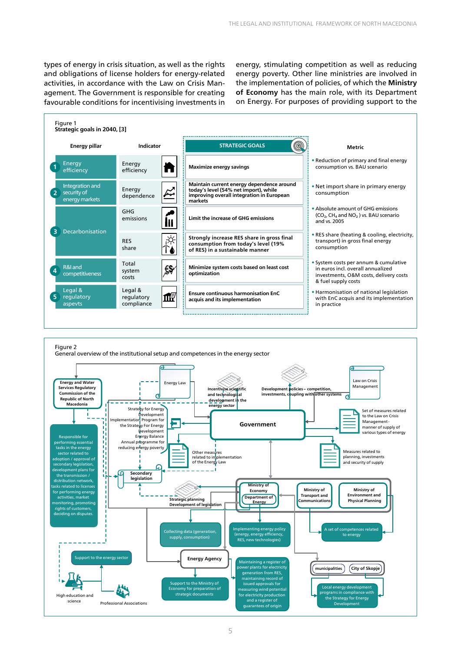types of energy in crisis situation, as well as the rights and obligations of license holders for energy-related activities, in accordance with the Law on Crisis Management. The Government is responsible for creating favourable conditions for incentivising investments in energy, stimulating competition as well as reducing energy poverty. Other line ministries are involved in the implementation of policies, of which the **Ministry of Economy** has the main role, with its Department on Energy. For purposes of providing support to the



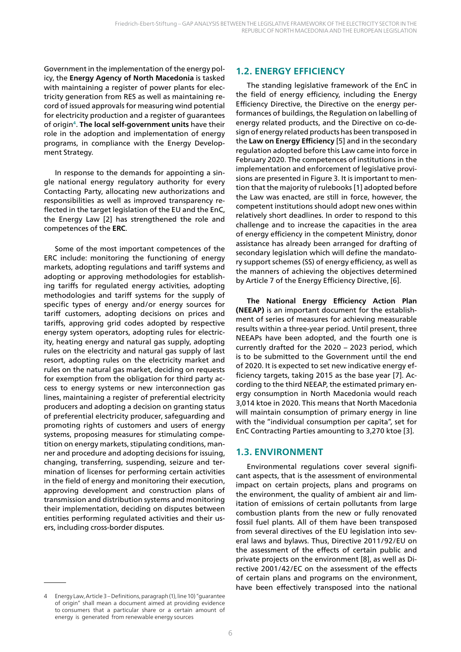Government in the implementation of the energy policy, the **Energy Agency of North Macedonia** is tasked with maintaining a register of power plants for electricity generation from RES as well as maintaining record of issued approvals for measuring wind potential for electricity production and a register of guarantees of origin**4**. **The local self-government units** have their role in the adoption and implementation of energy programs, in compliance with the Energy Development Strategy.

In response to the demands for appointing a single national energy regulatory authority for every Contacting Party, allocating new authorizations and responsibilities as well as improved transparency reflected in the target legislation of the EU and the EnC, the Energy Law [2] has strengthened the role and competences of the **ERC**.

Some of the most important competences of the ERC include: monitoring the functioning of energy markets, adopting regulations and tariff systems and adopting or approving methodologies for establishing tariffs for regulated energy activities, adopting methodologies and tariff systems for the supply of specific types of energy and/or energy sources for tariff customers, adopting decisions on prices and tariffs, approving grid codes adopted by respective energy system operators, adopting rules for electricity, heating energy and natural gas supply, adopting rules on the electricity and natural gas supply of last resort, adopting rules on the electricity market and rules on the natural gas market, deciding on requests for exemption from the obligation for third party access to energy systems or new interconnection gas lines, maintaining a register of preferential electricity producers and adopting a decision on granting status of preferential electricity producer, safeguarding and promoting rights of customers and users of energy systems, proposing measures for stimulating competition on energy markets, stipulating conditions, manner and procedure and adopting decisions for issuing, changing, transferring, suspending, seizure and termination of licenses for performing certain activities in the field of energy and monitoring their execution, approving development and construction plans of transmission and distribution systems and monitoring their implementation, deciding on disputes between entities performing regulated activities and their users, including cross-border disputes.

## **1.2. ENERGY EFFICIENCY**

The standing legislative framework of the EnC in the field of energy efficiency, including the Energy Efficiency Directive, the Directive on the energy performances of buildings, the Regulation on labelling of energy related products, and the Directive on co-design of energy related products has been transposed in the **Lаw on Energy Efficiency** [5] and in the secondary regulation adopted before this Law came into force in February 2020. The competences of institutions in the implementation and enforcement of legislative provisions are presented in Figure 3. It is important to mention that the majority of rulebooks [1] adopted before the Law was enacted, are still in force, however, the competent institutions should adopt new ones within relatively short deadlines. In order to respond to this challenge and to increase the capacities in the area of energy efficiency in the competent Ministry, donor assistance has already been arranged for drafting of secondary legislation which will define the mandatory support schemes (SS) of energy efficiency, as well as the manners of achieving the objectives determined by Article 7 of the Energy Efficiency Directive, [6].

**The National Energy Efficiency Action Plan (NEEAP)** is an important document for the establishment of series of measures for achieving measurable results within a three-year period. Until present, three NEEAPs have been adopted, and the fourth one is currently drafted for the 2020 – 2023 period, which is to be submitted to the Government until the end of 2020. It is expected to set new indicative energy efficiency targets, taking 2015 as the base year [7]. According to the third NEEAP, the estimated primary energy consumption in North Macedonia would reach 3,014 ktoe in 2020. This means that North Macedonia will maintain consumption of primary energy in line with the "individual consumption per capita", set for EnC Contracting Parties amounting to 3,270 ktoe [3].

### **1.3. ENVIRONMENT**

Environmental regulations cover several significant aspects, that is the assessment of environmental impact on certain projects, plans and programs on the environment, the quality of ambient air and limitation of emissions of certain pollutants from large combustion plants from the new or fully renovated fossil fuel plants. All of them have been transposed from several directives of the EU legislation into several laws and bylaws. Thus, Directive 2011/92/EU on the assessment of the effects of certain public and private projects on the environment [8], as well as Directive 2001/42/ЕC on the assessment of the effects of certain plans and programs on the environment, have been effectively transposed into the national

<sup>4</sup> Energy Law, Article 3 – Definitions, paragraph (1), line 10) "guarantee of origin" shall mean a document aimed at providing evidence to consumers that a particular share or a certain amount of energy is generated from renewable energy sources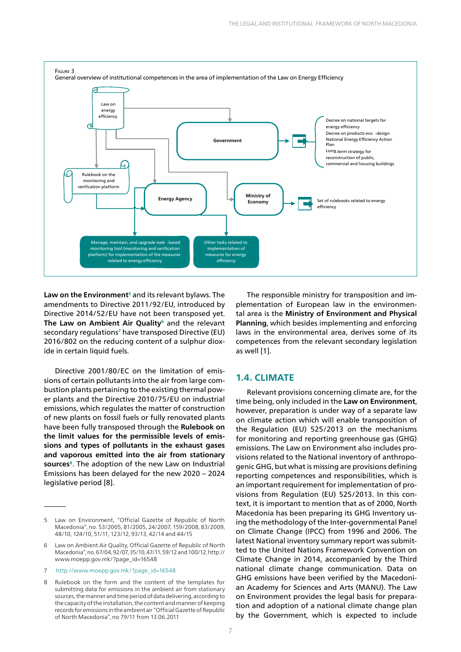

Law on the Environment<sup>5</sup> and its relevant bylaws. The amendments to Directive 2011/92/EU, introduced by Directive 2014/52/EU have not been transposed yet. **The Law on Ambient Air Quality<sup>6</sup> and the relevant** secondary regulations**7** have transposed Directive (EU) 2016/802 on the reducing content of a sulphur dioxide in certain liquid fuels.

Directive 2001/80/ЕC on the limitation of emissions of certain pollutants into the air from large combustion plants pertaining to the existing thermal power plants and the Directive 2010/75/EU on industrial emissions, which regulates the matter of construction of new plants on fossil fuels or fully renovated plants have been fully transposed through the **Rulebook on the limit values for the permissible levels of emissions and types of pollutants in the exhaust gases and vaporous emitted into the air from stationary**  sources<sup>8</sup>. The adoption of the new Law on Industrial Emissions has been delayed for the new 2020 – 2024 legislative period [8].

The responsible ministry for transposition and implementation of European law in the environmental area is the **Ministry of Environment and Physical Planning**, which besides implementing and enforcing laws in the environmental area, derives some of its competences from the relevant secondary legislation as well [1].

### **1.4. CLIMATE**

Relevant provisions concerning climate are, for the time being, only included in the **Law on Environment**, however, preparation is under way of a separate law on climate action which will enable transposition of the Regulation (EU) 525/2013 on the mechanisms for monitoring and reporting greenhouse gas (GHG) emissions. The Law on Environment also includes provisions related to the National inventory of anthropogenic GHG, but what is missing are provisions defining reporting competences and responsibilities, which is an important requirement for implementation of provisions from Regulation (EU) 525/2013. In this context, it is important to mention that as of 2000, North Macedonia has been preparing its GHG Inventory using the methodology of the Inter-governmental Panel on Climate Change (IPCC) from 1996 and 2006. The latest National inventory summary report was submitted to the United Nations Framework Convention on Climate Change in 2014, accompanied by the Third national climate change communication. Data on GHG emissions have been verified by the Macedonian Academy for Sciences and Arts (MANU). The Law on Environment provides the legal basis for preparation and adoption of a national climate change plan by the Government, which is expected to include

<sup>5</sup> Law on Environment, "Official Gazette of Republic of North Macedonia", no. 53/2005, 81/2005, 24/2007, 159/2008, 83/2009, 48/10, 124/10, 51/11, 123/12, 93/13, 42/14 and 44/15

<sup>6</sup> Law on Ambient Air Quality, Official Gazette of Republic of North Macedonia", no. 67/04, 92/07, 35/10, 47/11, 59/12 and 100/12, http:// www.moepp.gov.mk/?page\_id=16548

<sup>7</sup> http://www.moepp.gov.mk/?page\_id=16548

<sup>8</sup> Rulebook on the form and the content of the templates for submitting data for emissions in the ambient air from stationary sources, the manner and time period of data delivering, according to the capacity of the installation, the content and manner of keeping records for emissions in the ambient air "Official Gazette of Republic of North Macedonia", no 79/11 from 13.06.2011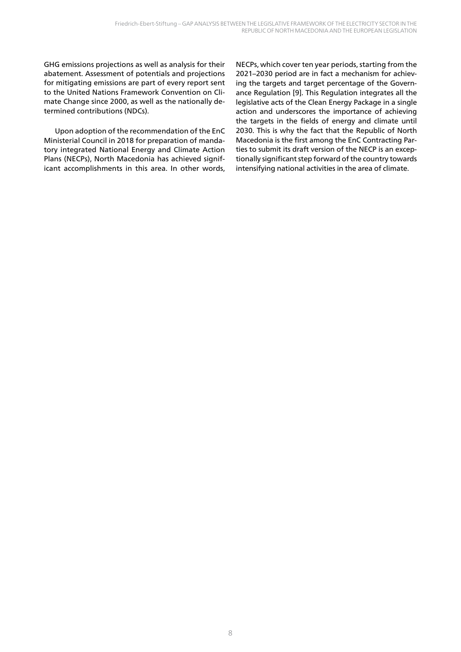GHG emissions projections as well as analysis for their abatement. Assessment of potentials and projections for mitigating emissions are part of every report sent to the United Nations Framework Convention on Climate Change since 2000, as well as the nationally determined contributions (NDCs).

Upon adoption of the recommendation of the EnC Ministerial Council in 2018 for preparation of mandatory integrated National Energy and Climate Action Plans (NECPs), North Macedonia has achieved significant accomplishments in this area. In other words,

NECPs, which cover ten year periods, starting from the 2021–2030 period are in fact a mechanism for achieving the targets and target percentage of the Governance Regulation [9]. This Regulation integrates all the legislative acts of the Clean Energy Package in a single action and underscores the importance of achieving the targets in the fields of energy and climate until 2030. This is why the fact that the Republic of North Macedonia is the first among the EnC Contracting Parties to submit its draft version of the NECP is an exceptionally significant step forward of the country towards intensifying national activities in the area of climate.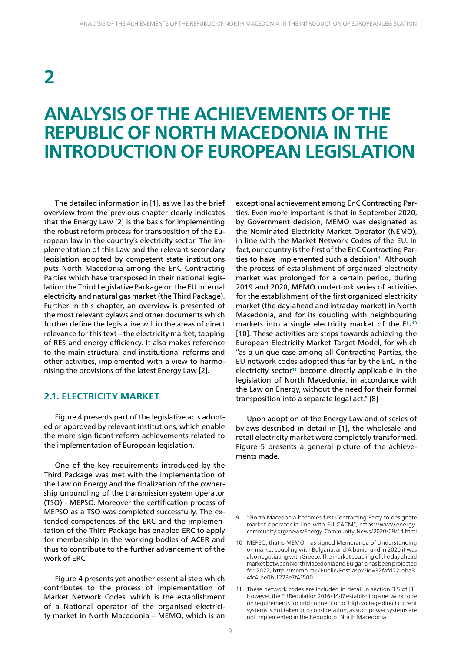# **2**

## **ANALYSIS OF THE ACHIEVEMENTS OF THE REPUBLIC OF NORTH MACEDONIA IN THE INTRODUCTION OF EUROPEAN LEGISLATION**

The detailed information in [1], as well as the brief overview from the previous chapter clearly indicates that the Energy Law [2] is the basis for implementing the robust reform process for transposition of the European law in the country's electricity sector. The implementation of this Law and the relevant secondary legislation adopted by competent state institutions puts North Macedonia among the EnC Contracting Parties which have transposed in their national legislation the Third Legislative Package on the EU internal electricity and natural gas market (the Third Package). Further in this chapter, an overview is presented of the most relevant bylaws and other documents which further define the legislative will in the areas of direct relevance for this text – the electricity market, tapping of RES and energy efficiency. It also makes reference to the main structural and institutional reforms and other activities, implemented with a view to harmonising the provisions of the latest Energy Law [2].

### **2.1. ELECTRICITY MARKET**

Figure 4 presents part of the legislative acts adopted or approved by relevant institutions, which enable the more significant reform achievements related to the implementation of European legislation.

One of the key requirements introduced by the Third Package was met with the implementation of the Law on Energy and the finalization of the ownership unbundling of the transmission system operator (TSO) - MEPSO. Moreover the certification process of MEPSO as a TSO was completed successfully. The extended competences of the ERC and the implementation of the Third Package has enabled ERC to apply for membership in the working bodies of ACER and thus to contribute to the further advancement of the work of ERC.

Figure 4 presents yet another essential step which contributes to the process of implementation of Market Network Codes, which is the establishment of a National operator of the organised electricity market in North Macedonia – МЕМО, which is an

exceptional achievement among EnC Contracting Parties. Even more important is that in September 2020, by Government decision, МЕМО was designated as the Nominated Electricity Market Operator (NEMO), in line with the Market Network Codes of the EU. In fact, our country is the first of the EnC Contracting Parties to have implemented such a decision**9**. Although the process of establishment of organized electricity market was prolonged for a certain period, during 2019 and 2020, MEMO undertook series of activities for the establishment of the first organized electricity market (the day-ahead and intraday market) in North Macedonia, and for its coupling with neighbouring markets into a single electricity market of the EU**<sup>10</sup>** [10]. These activities are steps towards achieving the European Electricity Market Target Model, for which "as a unique case among all Contracting Parties, the EU network codes adopted thus far by the EnC in the electricity sector**<sup>11</sup>** become directly applicable in the legislation of North Macedonia, in accordance with the Law on Energy, without the need for their formal transposition into a separate legal act." [8]

Upon adoption of the Energy Law and of series of bylaws described in detail in [1], the wholesale and retail electricity market were completely transformed. Figure 5 presents a general picture of the achievements made.

<sup>9</sup> "North Macedonia becomes first Contracting Party to designate market operator in line with EU CACM", https://www.energycommunity.org/news/Energy-Community-News/2020/09/14.html

<sup>10</sup> MEPSO, that is MEMO, has signed Memoranda of Understanding on market coupling with Bulgaria, and Albania, and in 2020 it was also negotiating with Greece. The market coupling of the day ahead market between North Macedonia and Bulgaria has been projected for 2022, http://memo.mk/Public/Post.aspx?id=32fafd22-eba3- 4fc4-be0b-1223e7f41500

<sup>11</sup> These network codes are included in detail in section 3.5 of [1]. However, the EU Regulation 2016/1447 establishing a network code on requirements for grid connection of high voltage direct current systems is not taken into consideration, as such power systems are not implemented in the Republic of North Macedonia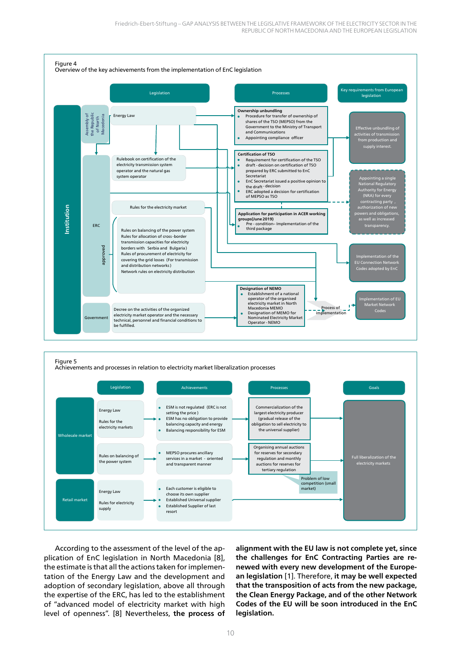

#### Figure 5

Achievements and processes in relation to electricity market liberalization processes



According to the assessment of the level of the application of EnC legislation in North Macedonia [8], the estimate is that all the actions taken for implementation of the Energy Law and the development and adoption of secondary legislation, above all through the expertise of the ERC, has led to the establishment of "advanced model of electricity market with high level of openness". [8] Nevertheless, **the process of**  **alignment with the EU law is not complete yet, since the challenges for EnC Contracting Parties are renewed with every new development of the European legislation** [1]. Therefore, **it may be well expected that the transposition of acts from the new package, the Clean Energy Package, and of the other Network Codes of the EU will be soon introduced in the EnC legislation.**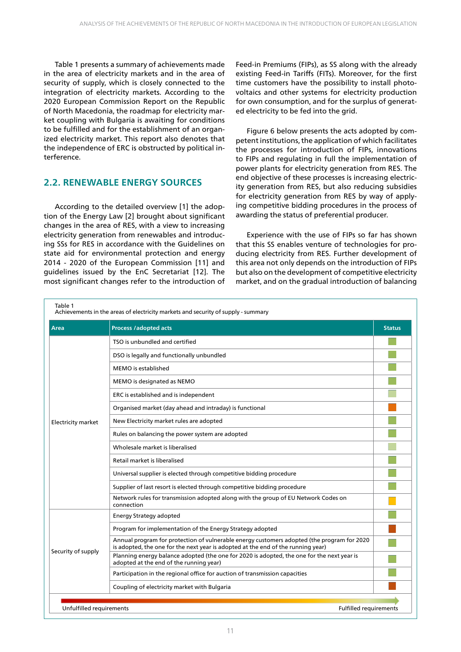Table 1 presents a summary of achievements made in the area of electricity markets and in the area of security of supply, which is closely connected to the integration of electricity markets. According to the 2020 European Commission Report on the Republic of North Macedonia, the roadmap for electricity market coupling with Bulgaria is awaiting for conditions to be fulfilled and for the establishment of an organized electricity market. This report also denotes that the independence of ERC is obstructed by political interference.

## **2.2. RENEWABLE ENERGY SOURCES**

According to the detailed overview [1] the adoption of the Energy Law [2] brought about significant changes in the area of RES, with a view to increasing electricity generation from renewables and introducing SSs for RES in accordance with the Guidelines on state aid for environmental protection and energy 2014 - 2020 of the European Commission [11] and guidelines issued by the EnC Secretariat [12]. The most significant changes refer to the introduction of

Feed-in Premiums (FIPs), as SS along with the already existing Feed-in Tariffs (FITs). Moreover, for the first time customers have the possibility to install photovoltaics and other systems for electricity production for own consumption, and for the surplus of generated electricity to be fed into the grid.

Figure 6 below presents the acts adopted by competent institutions, the application of which facilitates the processes for introduction of FIPs, innovations to FIPs and regulating in full the implementation of power plants for electricity generation from RES. The end objective of these processes is increasing electricity generation from RES, but also reducing subsidies for electricity generation from RES by way of applying competitive bidding procedures in the process of awarding the status of preferential producer.

Experience with the use of FIPs so far has shown that this SS enables venture of technologies for producing electricity from RES. Further development of this area not only depends on the introduction of FIPs but also on the development of competitive electricity market, and on the gradual introduction of balancing

| Area                      | Process /adopted acts                                                                                                                                                          | <b>Status</b> |
|---------------------------|--------------------------------------------------------------------------------------------------------------------------------------------------------------------------------|---------------|
|                           | TSO is unbundled and certified                                                                                                                                                 |               |
|                           | DSO is legally and functionally unbundled                                                                                                                                      |               |
|                           | MEMO is established                                                                                                                                                            |               |
|                           | MEMO is designated as NEMO                                                                                                                                                     |               |
|                           | ERC is established and is independent                                                                                                                                          |               |
|                           | Organised market (day ahead and intraday) is functional                                                                                                                        |               |
| <b>Electricity market</b> | New Electricity market rules are adopted                                                                                                                                       |               |
|                           | Rules on balancing the power system are adopted                                                                                                                                |               |
|                           | Wholesale market is liberalised                                                                                                                                                |               |
|                           | Retail market is liberalised                                                                                                                                                   |               |
|                           | Universal supplier is elected through competitive bidding procedure                                                                                                            |               |
|                           | Supplier of last resort is elected through competitive bidding procedure                                                                                                       |               |
|                           | Network rules for transmission adopted along with the group of EU Network Codes on<br>connection                                                                               |               |
|                           | <b>Energy Strategy adopted</b>                                                                                                                                                 |               |
|                           | Program for implementation of the Energy Strategy adopted                                                                                                                      |               |
|                           | Annual program for protection of vulnerable energy customers adopted (the program for 2020<br>is adopted, the one for the next year is adopted at the end of the running year) |               |
| Security of supply        | Planning energy balance adopted (the one for 2020 is adopted, the one for the next year is<br>adopted at the end of the running year)                                          |               |
|                           | Participation in the regional office for auction of transmission capacities                                                                                                    |               |
|                           | Coupling of electricity market with Bulgaria                                                                                                                                   |               |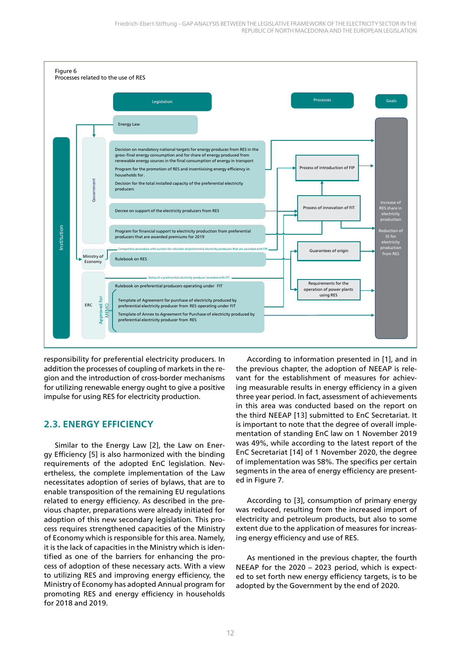

responsibility for preferential electricity producers. In addition the processes of coupling of markets in the region and the introduction of cross-border mechanisms for utilizing renewable energy ought to give a positive impulse for using RES for electricity production.

## **2.3. ENERGY EFFICIENCY**

Similar to the Energy Law [2], the Law on Energy Efficiency [5] is also harmonized with the binding requirements of the adopted EnC legislation. Nevertheless, the complete implementation of the Law necessitates adoption of series of bylaws, that are to enable transposition of the remaining EU regulations related to energy efficiency. As described in the previous chapter, preparations were already initiated for adoption of this new secondary legislation. This process requires strengthened capacities of the Ministry of Economy which is responsible for this area. Namely, it is the lack of capacities in the Ministry which is identified as one of the barriers for enhancing the process of adoption of these necessary acts. With a view to utilizing RES and improving energy efficiency, the Ministry of Economy has adopted Annual program for promoting RES and energy efficiency in households for 2018 and 2019.

According to information presented in [1], and in the previous chapter, the adoption of NEEAP is relevant for the establishment of measures for achieving measurable results in energy efficiency in a given three year period. In fact, assessment of achievements in this area was conducted based on the report on the third NEEAP [13] submitted to EnC Secretariat. It is important to note that the degree of overall implementation of standing EnC law on 1 November 2019 was 49%, while according to the latest report of the EnC Secretariat [14] of 1 November 2020, the degree of implementation was 58%. The specifics per certain segments in the area of energy efficiency are presented in Figure 7.

According to [3], consumption of primary energy was reduced, resulting from the increased import of electricity and petroleum products, but also to some extent due to the application of measures for increasing energy efficiency and use of RES.

As mentioned in the previous chapter, the fourth NEEAP for the 2020 – 2023 period, which is expected to set forth new energy efficiency targets, is to be adopted by the Government by the end of 2020.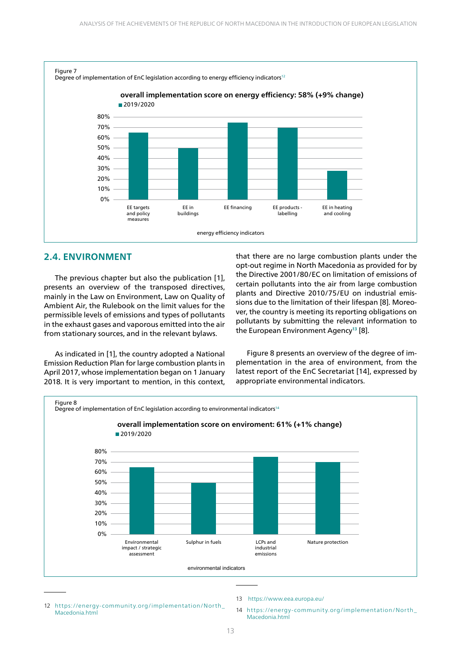

### **2.4. ENVIRONMENT**

The previous chapter but also the publication [1], presents an overview of the transposed directives, mainly in the Law on Environment, Law on Quality of Ambient Air, the Rulebook on the limit values for the permissible levels of emissions and types of pollutants in the exhaust gases and vaporous emitted into the air from stationary sources, and in the relevant bylaws.

As indicated in [1], the country adopted a National Emission Reduction Plan for large combustion plants in April 2017, whose implementation began on 1 January 2018. It is very important to mention, in this context, that there are no large combustion plants under the opt-out regime in North Macedonia as provided for by the Directive 2001/80/ЕC on limitation of emissions of certain pollutants into the air from large combustion plants and Directive 2010/75/EU on industrial emissions due to the limitation of their lifespan [8]. Moreover, the country is meeting its reporting obligations on pollutants by submitting the relevant information to the European Environment Agency<sup>13</sup> [8].

Figure 8 presents an overview of the degree of implementation in the area of environment, from the latest report of the EnC Secretariat [14], expressed by appropriate environmental indicators.



12 https://energy-community.org/implementation/North\_ Macedonia.html

- 13 https://www.eea.europa.eu/
- 14 https://energy-community.org/implementation/North\_ Macedonia.html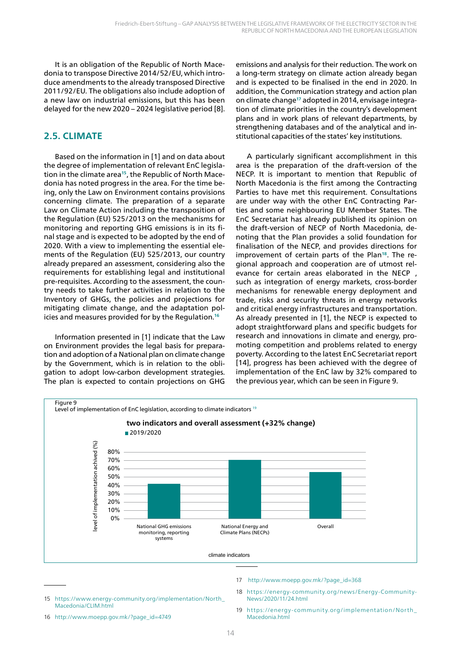It is an obligation of the Republic of North Macedonia to transpose Directive 2014/52/EU, which introduce amendments to the already transposed Directive 2011/92/EU. The obligations also include adoption of a new law on industrial emissions, but this has been delayed for the new 2020 – 2024 legislative period [8].

## **2.5. CLIMATE**

Based on the information in [1] and on data about the degree of implementation of relevant EnC legislation in the climate area**15**, the Republic of North Macedonia has noted progress in the area. For the time being, only the Law on Environment contains provisions concerning climate. The preparation of a separate Law on Climate Action including the transposition of the Regulation (EU) 525/2013 on the mechanisms for monitoring and reporting GHG emissions is in its final stage and is expected to be adopted by the end of 2020. With a view to implementing the essential elements of the Regulation (EU) 525/2013, our country already prepared an assessment, considering also the requirements for establishing legal and institutional pre-requisites. According to the assessment, the country needs to take further activities in relation to the Inventory of GHGs, the policies and projections for mitigating climate change, and the adaptation policies and measures provided for by the Regulation.**<sup>16</sup>**

Information presented in [1] indicate that the Law on Environment provides the legal basis for preparation and adoption of a National plan on climate change by the Government, which is in relation to the obligation to adopt low-carbon development strategies. The plan is expected to contain projections on GHG

emissions and analysis for their reduction. The work on a long-term strategy on climate action already began and is expected to be finalised in the end in 2020. In addition, the Communication strategy and action plan on climate change**17** adopted in 2014, envisage integration of climate priorities in the country's development plans and in work plans of relevant departments, by strengthening databases and of the analytical and institutional capacities of the states' key institutions.

A particularly significant accomplishment in this area is the preparation of the draft-version of the NECP. It is important to mention that Republic of North Macedonia is the first among the Contracting Parties to have met this requirement. Consultations are under way with the other EnC Contracting Parties and some neighbouring EU Member States. The EnC Secretariat has already published its opinion on the draft-version of NECP of North Macedonia, denoting that the Plan provides a solid foundation for finalisation of the NECP, and provides directions for improvement of certain parts of the Plan**18**. The regional approach and cooperation are of utmost relevance for certain areas elaborated in the NECP, such as integration of energy markets, cross-border mechanisms for renewable energy deployment and trade, risks and security threats in energy networks and critical energy infrastructures and transportation. As already presented in [1], the NECP is expected to adopt straightforward plans and specific budgets for research and innovations in climate and energy, promoting competition and problems related to energy poverty. According to the latest EnC Secretariat report [14], progress has been achieved with the degree of implementation of the EnC law by 32% compared to the previous year, which can be seen in Figure 9.



- 17 http://www.moepp.gov.mk/?page\_id=368
- 18 https://energy-community.org/news/Energy-Community-News/2020/11/24.html
- 15 https://www.energy-community.org/implementation/North\_ Macedonia/CLIM.html

19 https://energy-community.org/implementation/North\_ Macedonia html

<sup>16</sup> http://www.moepp.gov.mk/?page\_id=4749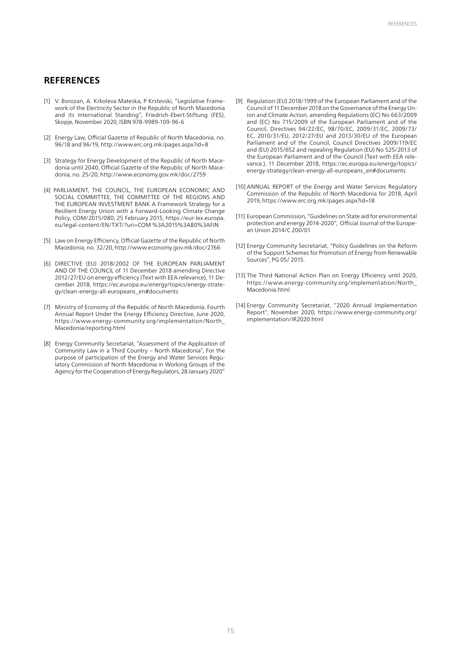### **REFERENCES**

- [1] V. Borozan, A. Krkoleva Mateska, P Krstevski, "Legislative Framework of the Electricity Sector in the Republic of North Macedonia and its International Standing", Friedrich-Ebert-Stiftung (FES), Skopje, November 2020, ISBN 978-9989-109-96-6
- [2] Energy Law, Official Gazette of Republic of North Macedonia, no. 96/18 and 96/19, http://www.erc.org.mk/pages.aspx?id=8
- [3] Strategy for Energy Development of the Republic of North Macedonia until 2040, Official Gazette of the Republic of North Macedonia, no. 25/20, http://www.economy.gov.mk/doc/2759
- [4] PARLIAMENT, THE COUNCIL, THE EUROPEAN ECONOMIC AND SOCIAL COMMITTEE, THE COMMITTEE OF THE REGIONS AND THE EUROPEAN INVESTMENT BANK A Framework Strategy for a Resilient Energy Union with a Forward-Looking Climate Change Policy, COM/2015/080, 25 February 2015, https://eur-lex.europa. eu/legal-content/EN/TXT/?uri=COM %3A2015%3A80%3AFIN
- [5] Law on Energy Efficiency, Official Gazette of the Republic of North Macedonia, no. 32/20, http://www.economy.gov.mk/doc/2766
- [6] DIRECTIVE (EU) 2018/2002 OF THE EUROPEAN PARLIAMENT AND OF THE COUNCIL of 11 December 2018 amending Directive 2012/27/EU on energy efficiency (Text with EEA relevance), 11 December 2018, https://ec.europa.eu/energy/topics/energy-strategy/clean-energy-all-europeans\_en#documents
- [7] Ministry of Economy of the Republic of North Macedonia, Fourth Annual Report Under the Energy Efficiency Directive, June 2020, https://www.energy-community.org/implementation/North\_ Macedonia/reporting.html
- [8] Energy Community Secretariat, "Assessment of the Application of Community Law in a Third Country – North Macedonia", For the purpose of participation of the Energy and Water Services Regulatory Commission of North Macedonia in Working Groups of the Agency for the Cooperation of Energy Regulators, 28 January 2020"
- [9] Regulation (EU) 2018/1999 of the European Parliament and of the Council of 11 December 2018 on the Governance of the Energy Union and Climate Action, amending Regulations (EC) No 663/2009 and (EC) No 715/2009 of the European Parliament and of the Council, Directives 94/22/EC, 98/70/EC, 2009/31/EC, 2009/73/ EC, 2010/31/EU, 2012/27/EU and 2013/30/EU of the European Parliament and of the Council, Council Directives 2009/119/EC and (EU) 2015/652 and repealing Regulation (EU) No 525/2013 of the European Parliament and of the Council (Text with EEA relevance.), 11 December 2018, https://ec.europa.eu/energy/topics/ energy-strategy/clean-energy-all-europeans\_en#documents
- [10] ANNUAL REPORT of the Energy and Water Services Regulatory Commission of the Republic of North Macedonia for 2018, April 2019, https://www.erc.org.mk/pages.aspx?id=18
- [11] European Commission, "Guidelines on State aid for environmental protection and energy 2014-2020", Official Journal of the European Union 2014/C 200/01
- [12] Energy Community Secretariat, "Policy Guidelines on the Reform of the Support Schemes for Promotion of Energy from Renewable Sources", PG 05/ 2015.
- [13] The Third National Action Plan on Energy Efficiency until 2020, https://www.energy-community.org/implementation/North\_ Macedonia html
- [14] Energy Community Secretariat, "2020 Annual Implementation Report", November 2020, https://www.energy-community.org/ implementation/IR2020.html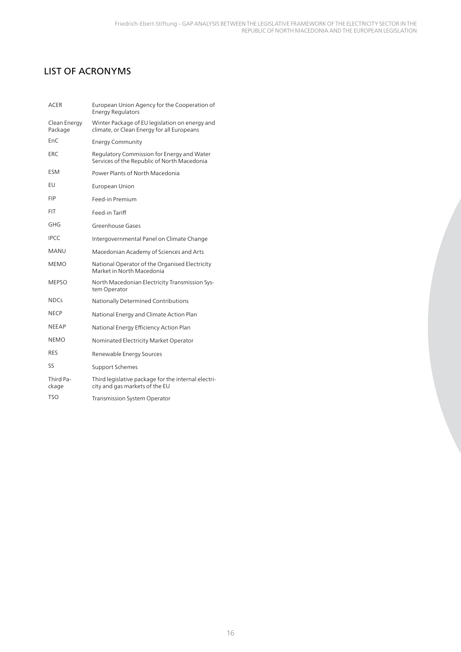## LIST OF ACRONYMS

| ACER                    | European Union Agency for the Cooperation of<br><b>Energy Regulators</b>                     |  |  |
|-------------------------|----------------------------------------------------------------------------------------------|--|--|
| Clean Energy<br>Package | Winter Package of EU legislation on energy and<br>climate, or Clean Energy for all Europeans |  |  |
| EnC                     | <b>Energy Community</b>                                                                      |  |  |
| ERC                     | Regulatory Commission for Energy and Water<br>Services of the Republic of North Macedonia    |  |  |
| ESM                     | Power Plants of North Macedonia                                                              |  |  |
| EU                      | European Union                                                                               |  |  |
| <b>FIP</b>              | Feed-in Premium                                                                              |  |  |
| FIT                     | Feed-in Tariff                                                                               |  |  |
| GHG                     | Greenhouse Gases                                                                             |  |  |
| <b>IPCC</b>             | Intergovernmental Panel on Climate Change                                                    |  |  |
| MANU                    | Macedonian Academy of Sciences and Arts                                                      |  |  |
| <b>MEMO</b>             | National Operator of the Organised Electricity<br>Market in North Macedonia                  |  |  |
| <b>MEPSO</b>            | North Macedonian Electricity Transmission Sys-<br>tem Operator                               |  |  |
| <b>NDCs</b>             | Nationally Determined Contributions                                                          |  |  |
| <b>NECP</b>             | National Energy and Climate Action Plan                                                      |  |  |
| <b>NEEAP</b>            | National Energy Efficiency Action Plan                                                       |  |  |
| <b>NEMO</b>             | Nominated Electricity Market Operator                                                        |  |  |
| <b>RES</b>              | Renewable Energy Sources                                                                     |  |  |
| SS                      | Support Schemes                                                                              |  |  |
| Third Pa-<br>ckage      | Third legislative package for the internal electri-<br>city and gas markets of the EU        |  |  |
| <b>TSO</b>              | <b>Transmission System Operator</b>                                                          |  |  |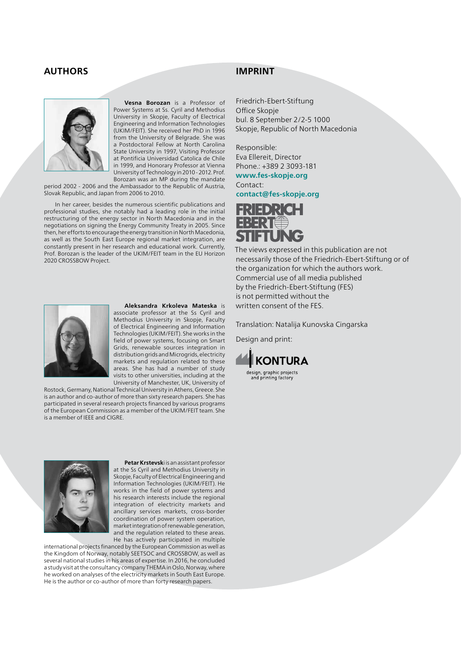### **AUTHORS**



**Vesna Borozan** is a Professor of Power Systems at Ss. Cyril and Methodius University in Skopje, Faculty of Electrical Engineering and Information Technologies (UKIM/FEIT). She received her PhD in 1996 from the University of Belgrade. She was a Postdoctoral Fellow at North Carolina State University in 1997, Visiting Professor at Pontificia Universidad Catolica de Chile in 1999, and Honorary Professor at Vienna University of Technology in 2010 - 2012. Prof. Borozan was an MP during the mandate

period 2002 - 2006 and the Ambassador to the Republic of Austria, Slovak Republic, and Japan from 2006 to 2010.

In her career, besides the numerous scientific publications and professional studies, she notably had a leading role in the initial restructuring of the energy sector in North Macedonia and in the negotiations on signing the Energy Community Treaty in 2005. Since then, her efforts to encourage the energy transition in North Macedonia, as well as the South East Europe regional market integration, are constantly present in her research and educational work. Currently, Prof. Borozan is the leader of the UKIM/FEIT team in the EU Horizon 2020 CROSSBOW Project.

## **IMPRINT**

Friedrich-Ebert-Stiftung Office Skopje bul. 8 September 2/2-5 1000 Skopje, Republic of North Macedonia

Responsible: Eva Ellereit, Director Phone.: +389 2 3093-181

**www.fes-skopje.org** Contact: **contact@fes-skopje.org**

FREDRICH EBERT **FTUNG** 

The views expressed in this publication are not necessarily those of the Friedrich-Ebert-Stiftung or of the organization for which the authors work. Commercial use of all media published by the Friedrich-Ebert-Stiftung (FES) is not permitted without the written consent of the FES.

Translation: Natalija Kunovska Cingarska

Design and print:





#### **Aleksandra Krkoleva Mateska** is associate professor at the Ss Cyril and

Methodius University in Skopje, Faculty of Electrical Engineering and Information Technologies (UKIM/FEIT). She works in the field of power systems, focusing on Smart Grids, renewable sources integration in distribution grids and Microgrids, electricity markets and regulation related to these areas. She has had a number of study visits to other universities, including at the University of Manchester, UK, University of

Rostock, Germany, National Technical University in Athens, Greece. She is an author and co-author of more than sixty research papers. She has participated in several research projects financed by various programs of the European Commission as a member of the UKIM/FEIT team. She is a member of IEEE and CIGRE.



**Petar Krstevsk**i is an assistant professor at the Ss Cyril and Methodius University in Skopje, Faculty of Electrical Engineering and Information Technologies (UKIM/FEIT). He works in the field of power systems and his research interests include the regional integration of electricity markets and ancillary services markets, cross-border coordination of power system operation, market integration of renewable generation, and the regulation related to these areas. He has actively participated in multiple

international projects financed by the European Commission as well as the Kingdom of Norway, notably SEETSOC and CROSSBOW, as well as several national studies in his areas of expertise. In 2016, he concluded a study visit at the consultancy company THEMA in Oslo, Norway, where he worked on analyses of the electricity markets in South East Europe. He is the author or co-author of more than forty research papers.